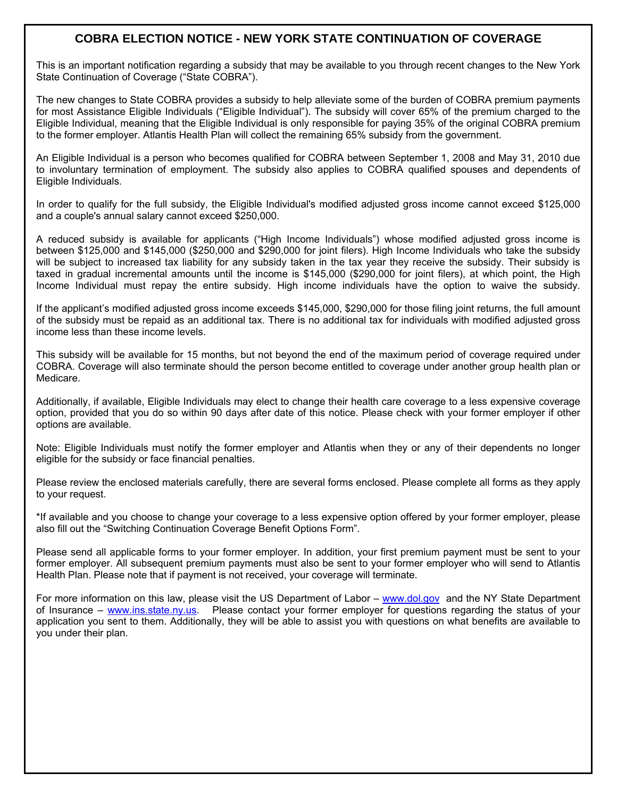# **COBRA ELECTION NOTICE - NEW YORK STATE CONTINUATION OF COVERAGE**

This is an important notification regarding a subsidy that may be available to you through recent changes to the New York State Continuation of Coverage ("State COBRA").

The new changes to State COBRA provides a subsidy to help alleviate some of the burden of COBRA premium payments for most Assistance Eligible Individuals ("Eligible Individual"). The subsidy will cover 65% of the premium charged to the Eligible Individual, meaning that the Eligible Individual is only responsible for paying 35% of the original COBRA premium to the former employer. Atlantis Health Plan will collect the remaining 65% subsidy from the government.

An Eligible Individual is a person who becomes qualified for COBRA between September 1, 2008 and May 31, 2010 due to involuntary termination of employment. The subsidy also applies to COBRA qualified spouses and dependents of Eligible Individuals.

In order to qualify for the full subsidy, the Eligible Individual's modified adjusted gross income cannot exceed \$125,000 and a couple's annual salary cannot exceed \$250,000.

A reduced subsidy is available for applicants ("High Income Individuals") whose modified adjusted gross income is between \$125,000 and \$145,000 (\$250,000 and \$290,000 for joint filers). High Income Individuals who take the subsidy will be subject to increased tax liability for any subsidy taken in the tax year they receive the subsidy. Their subsidy is taxed in gradual incremental amounts until the income is \$145,000 (\$290,000 for joint filers), at which point, the High Income Individual must repay the entire subsidy. High income individuals have the option to waive the subsidy.

If the applicant's modified adjusted gross income exceeds \$145,000, \$290,000 for those filing joint returns, the full amount of the subsidy must be repaid as an additional tax. There is no additional tax for individuals with modified adjusted gross income less than these income levels.

This subsidy will be available for 15 months, but not beyond the end of the maximum period of coverage required under COBRA. Coverage will also terminate should the person become entitled to coverage under another group health plan or Medicare.

Additionally, if available, Eligible Individuals may elect to change their health care coverage to a less expensive coverage option, provided that you do so within 90 days after date of this notice. Please check with your former employer if other options are available.

Note: Eligible Individuals must notify the former employer and Atlantis when they or any of their dependents no longer eligible for the subsidy or face financial penalties.

Please review the enclosed materials carefully, there are several forms enclosed. Please complete all forms as they apply to your request.

\*If available and you choose to change your coverage to a less expensive option offered by your former employer, please also fill out the "Switching Continuation Coverage Benefit Options Form".

Please send all applicable forms to your former employer. In addition, your first premium payment must be sent to your former employer. All subsequent premium payments must also be sent to your former employer who will send to Atlantis Health Plan. Please note that if payment is not received, your coverage will terminate.

For more information on this law, please visit the US Department of Labor – www.dol.gov and the NY State Department of Insurance – www.ins.state.ny.us. Please contact your former employer for questions regarding the status of your application you sent to them. Additionally, they will be able to assist you with questions on what benefits are available to you under their plan.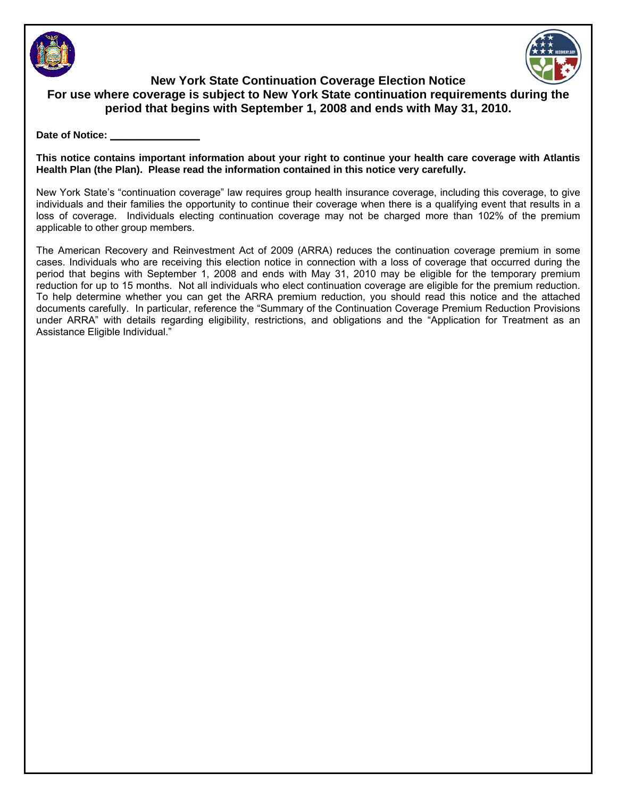



**New York State Continuation Coverage Election Notice For use where coverage is subject to New York State continuation requirements during the period that begins with September 1, 2008 and ends with May 31, 2010.** 

#### Date of Notice:

**This notice contains important information about your right to continue your health care coverage with Atlantis Health Plan (the Plan). Please read the information contained in this notice very carefully.**

New York State's "continuation coverage" law requires group health insurance coverage, including this coverage, to give individuals and their families the opportunity to continue their coverage when there is a qualifying event that results in a loss of coverage. Individuals electing continuation coverage may not be charged more than 102% of the premium applicable to other group members.

The American Recovery and Reinvestment Act of 2009 (ARRA) reduces the continuation coverage premium in some cases. Individuals who are receiving this election notice in connection with a loss of coverage that occurred during the period that begins with September 1, 2008 and ends with May 31, 2010 may be eligible for the temporary premium reduction for up to 15 months. Not all individuals who elect continuation coverage are eligible for the premium reduction. To help determine whether you can get the ARRA premium reduction, you should read this notice and the attached documents carefully. In particular, reference the "Summary of the Continuation Coverage Premium Reduction Provisions under ARRA" with details regarding eligibility, restrictions, and obligations and the "Application for Treatment as an Assistance Eligible Individual."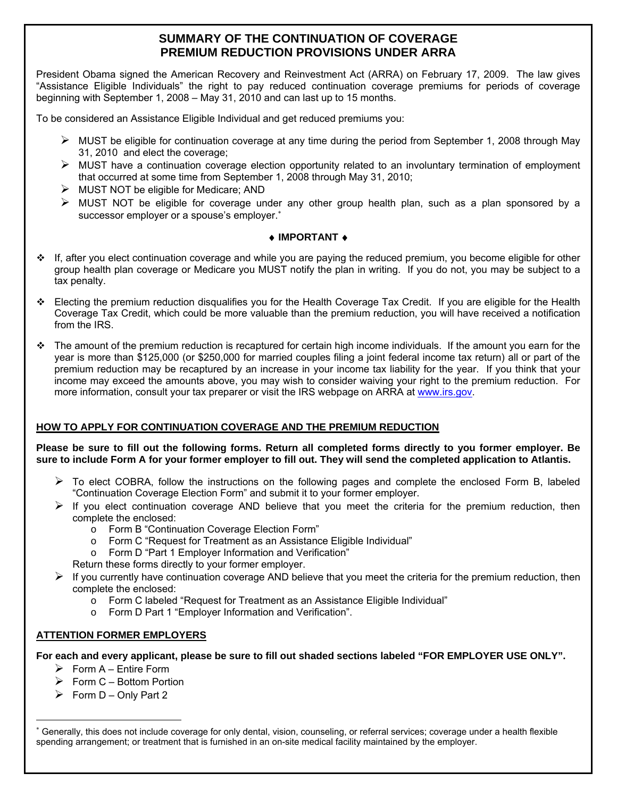# **SUMMARY OF THE CONTINUATION OF COVERAGE PREMIUM REDUCTION PROVISIONS UNDER ARRA**

President Obama signed the American Recovery and Reinvestment Act (ARRA) on February 17, 2009. The law gives "Assistance Eligible Individuals" the right to pay reduced continuation coverage premiums for periods of coverage beginning with September 1, 2008 – May 31, 2010 and can last up to 15 months.

To be considered an Assistance Eligible Individual and get reduced premiums you:

- $\triangleright$  MUST be eligible for continuation coverage at any time during the period from September 1, 2008 through May 31, 2010 and elect the coverage;
- $\triangleright$  MUST have a continuation coverage election opportunity related to an involuntary termination of employment that occurred at some time from September 1, 2008 through May 31, 2010;
- $\triangleright$  MUST NOT be eligible for Medicare; AND
- $\triangleright$  MUST NOT be eligible for coverage under any other group health plan, such as a plan sponsored by a successor employer or a spouse's employer.<sup>\*</sup>

### ♦ **IMPORTANT** ♦

- If, after you elect continuation coverage and while you are paying the reduced premium, you become eligible for other group health plan coverage or Medicare you MUST notify the plan in writing. If you do not, you may be subject to a tax penalty.
- Electing the premium reduction disqualifies you for the Health Coverage Tax Credit. If you are eligible for the Health Coverage Tax Credit, which could be more valuable than the premium reduction, you will have received a notification from the IRS.
- $\div$  The amount of the premium reduction is recaptured for certain high income individuals. If the amount you earn for the year is more than \$125,000 (or \$250,000 for married couples filing a joint federal income tax return) all or part of the premium reduction may be recaptured by an increase in your income tax liability for the year. If you think that your income may exceed the amounts above, you may wish to consider waiving your right to the premium reduction. For more information, consult your tax preparer or visit the IRS webpage on ARRA at www.irs.gov.

## **HOW TO APPLY FOR CONTINUATION COVERAGE AND THE PREMIUM REDUCTION**

**Please be sure to fill out the following forms. Return all completed forms directly to you former employer. Be sure to include Form A for your former employer to fill out. They will send the completed application to Atlantis.** 

- $\triangleright$  To elect COBRA, follow the instructions on the following pages and complete the enclosed Form B, labeled "Continuation Coverage Election Form" and submit it to your former employer.
- $\triangleright$  If you elect continuation coverage AND believe that you meet the criteria for the premium reduction, then complete the enclosed:
	- o Form B "Continuation Coverage Election Form"
	- o Form C "Request for Treatment as an Assistance Eligible Individual"
	- o Form D "Part 1 Employer Information and Verification"
	- Return these forms directly to your former employer.
- $\triangleright$  If you currently have continuation coverage AND believe that you meet the criteria for the premium reduction, then complete the enclosed:
	- o Form C labeled "Request for Treatment as an Assistance Eligible Individual"
	- o Form D Part 1 "Employer Information and Verification".

## **ATTENTION FORMER EMPLOYERS**

## **For each and every applicant, please be sure to fill out shaded sections labeled "FOR EMPLOYER USE ONLY".**

- $\triangleright$  Form A Entire Form
- ¾ Form C Bottom Portion
- $\triangleright$  Form D Only Part 2

1

<sup>∗</sup> Generally, this does not include coverage for only dental, vision, counseling, or referral services; coverage under a health flexible spending arrangement; or treatment that is furnished in an on-site medical facility maintained by the employer.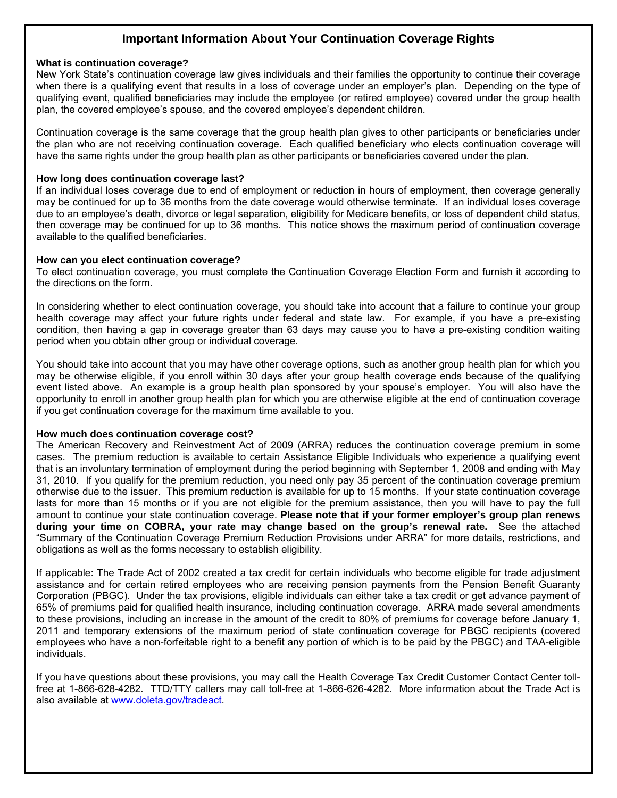## **Important Information About Your Continuation Coverage Rights**

#### **What is continuation coverage?**

New York State's continuation coverage law gives individuals and their families the opportunity to continue their coverage when there is a qualifying event that results in a loss of coverage under an employer's plan. Depending on the type of qualifying event, qualified beneficiaries may include the employee (or retired employee) covered under the group health plan, the covered employee's spouse, and the covered employee's dependent children.

Continuation coverage is the same coverage that the group health plan gives to other participants or beneficiaries under the plan who are not receiving continuation coverage. Each qualified beneficiary who elects continuation coverage will have the same rights under the group health plan as other participants or beneficiaries covered under the plan.

#### **How long does continuation coverage last?**

If an individual loses coverage due to end of employment or reduction in hours of employment, then coverage generally may be continued for up to 36 months from the date coverage would otherwise terminate. If an individual loses coverage due to an employee's death, divorce or legal separation, eligibility for Medicare benefits, or loss of dependent child status, then coverage may be continued for up to 36 months. This notice shows the maximum period of continuation coverage available to the qualified beneficiaries.

#### **How can you elect continuation coverage?**

To elect continuation coverage, you must complete the Continuation Coverage Election Form and furnish it according to the directions on the form.

In considering whether to elect continuation coverage, you should take into account that a failure to continue your group health coverage may affect your future rights under federal and state law. For example, if you have a pre-existing condition, then having a gap in coverage greater than 63 days may cause you to have a pre-existing condition waiting period when you obtain other group or individual coverage.

You should take into account that you may have other coverage options, such as another group health plan for which you may be otherwise eligible, if you enroll within 30 days after your group health coverage ends because of the qualifying event listed above. An example is a group health plan sponsored by your spouse's employer. You will also have the opportunity to enroll in another group health plan for which you are otherwise eligible at the end of continuation coverage if you get continuation coverage for the maximum time available to you.

#### **How much does continuation coverage cost?**

The American Recovery and Reinvestment Act of 2009 (ARRA) reduces the continuation coverage premium in some cases. The premium reduction is available to certain Assistance Eligible Individuals who experience a qualifying event that is an involuntary termination of employment during the period beginning with September 1, 2008 and ending with May 31, 2010. If you qualify for the premium reduction, you need only pay 35 percent of the continuation coverage premium otherwise due to the issuer. This premium reduction is available for up to 15 months. If your state continuation coverage lasts for more than 15 months or if you are not eligible for the premium assistance, then you will have to pay the full amount to continue your state continuation coverage. **Please note that if your former employer's group plan renews during your time on COBRA, your rate may change based on the group's renewal rate.** See the attached "Summary of the Continuation Coverage Premium Reduction Provisions under ARRA" for more details, restrictions, and obligations as well as the forms necessary to establish eligibility.

If applicable: The Trade Act of 2002 created a tax credit for certain individuals who become eligible for trade adjustment assistance and for certain retired employees who are receiving pension payments from the Pension Benefit Guaranty Corporation (PBGC). Under the tax provisions, eligible individuals can either take a tax credit or get advance payment of 65% of premiums paid for qualified health insurance, including continuation coverage. ARRA made several amendments to these provisions, including an increase in the amount of the credit to 80% of premiums for coverage before January 1, 2011 and temporary extensions of the maximum period of state continuation coverage for PBGC recipients (covered employees who have a non-forfeitable right to a benefit any portion of which is to be paid by the PBGC) and TAA-eligible individuals.

If you have questions about these provisions, you may call the Health Coverage Tax Credit Customer Contact Center tollfree at 1-866-628-4282. TTD/TTY callers may call toll-free at 1-866-626-4282. More information about the Trade Act is also available at www.doleta.gov/tradeact.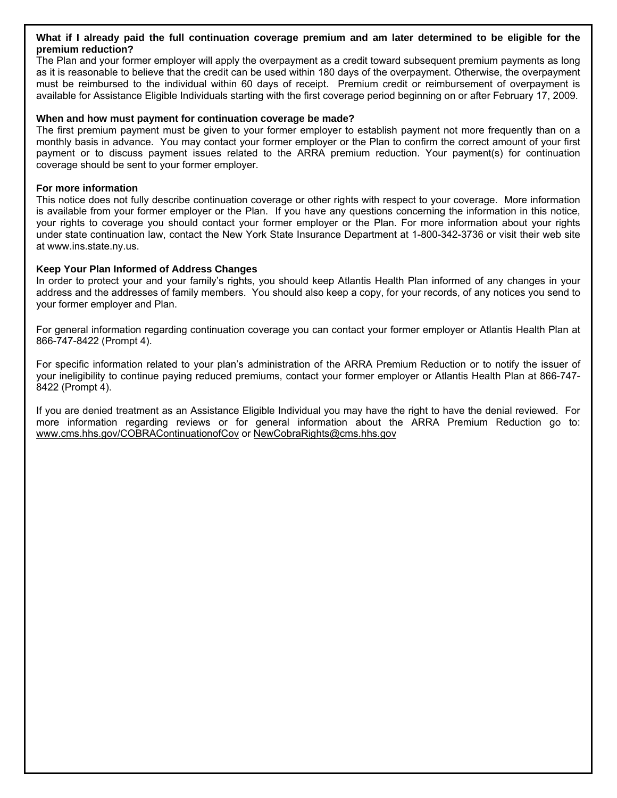#### **What if I already paid the full continuation coverage premium and am later determined to be eligible for the premium reduction?**

The Plan and your former employer will apply the overpayment as a credit toward subsequent premium payments as long as it is reasonable to believe that the credit can be used within 180 days of the overpayment. Otherwise, the overpayment must be reimbursed to the individual within 60 days of receipt. Premium credit or reimbursement of overpayment is available for Assistance Eligible Individuals starting with the first coverage period beginning on or after February 17, 2009.

#### **When and how must payment for continuation coverage be made?**

The first premium payment must be given to your former employer to establish payment not more frequently than on a monthly basis in advance. You may contact your former employer or the Plan to confirm the correct amount of your first payment or to discuss payment issues related to the ARRA premium reduction. Your payment(s) for continuation coverage should be sent to your former employer.

#### **For more information**

This notice does not fully describe continuation coverage or other rights with respect to your coverage. More information is available from your former employer or the Plan. If you have any questions concerning the information in this notice, your rights to coverage you should contact your former employer or the Plan. For more information about your rights under state continuation law, contact the New York State Insurance Department at 1-800-342-3736 or visit their web site at www.ins.state.ny.us.

#### **Keep Your Plan Informed of Address Changes**

In order to protect your and your family's rights, you should keep Atlantis Health Plan informed of any changes in your address and the addresses of family members. You should also keep a copy, for your records, of any notices you send to your former employer and Plan.

For general information regarding continuation coverage you can contact your former employer or Atlantis Health Plan at 866-747-8422 (Prompt 4).

For specific information related to your plan's administration of the ARRA Premium Reduction or to notify the issuer of your ineligibility to continue paying reduced premiums, contact your former employer or Atlantis Health Plan at 866-747- 8422 (Prompt 4).

If you are denied treatment as an Assistance Eligible Individual you may have the right to have the denial reviewed. For more information regarding reviews or for general information about the ARRA Premium Reduction go to: www.cms.hhs.gov/COBRAContinuationofCov or NewCobraRights@cms.hhs.gov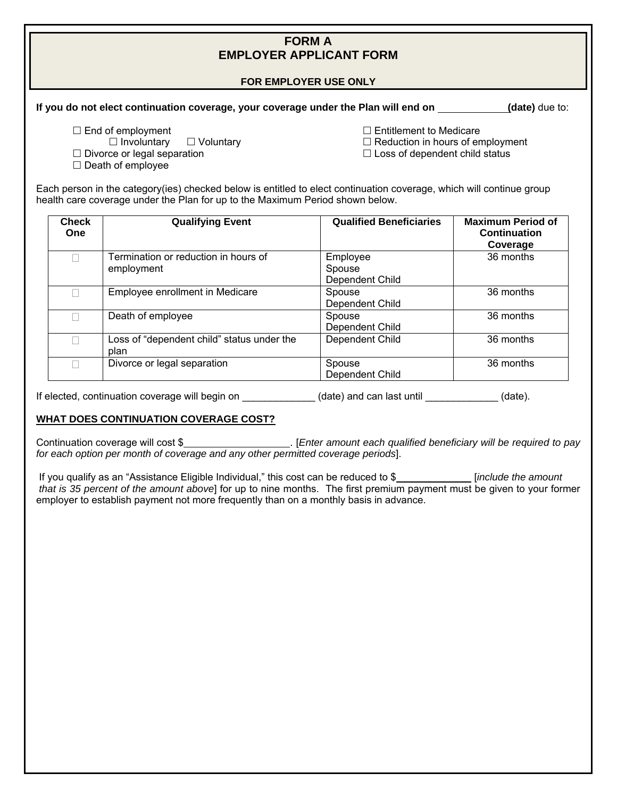## **FORM A EMPLOYER APPLICANT FORM**

#### **FOR EMPLOYER USE ONLY**

#### **If you do not elect continuation coverage, your coverage under the Plan will end on (date)** due to:

- $\square$  End of employment
- $\Box$  Involuntary  $\Box$  Voluntary
- $\Box$  Divorce or legal separation
- $\square$  Death of employee

 $\Box$  Entitlement to Medicare

 $\Box$  Reduction in hours of employment

 $\Box$  Loss of dependent child status

Each person in the category(ies) checked below is entitled to elect continuation coverage, which will continue group health care coverage under the Plan for up to the Maximum Period shown below.

| <b>Check</b><br><b>One</b> | <b>Qualifying Event</b>                            | <b>Qualified Beneficiaries</b>        | <b>Maximum Period of</b><br><b>Continuation</b><br>Coverage |
|----------------------------|----------------------------------------------------|---------------------------------------|-------------------------------------------------------------|
| $\Box$                     | Termination or reduction in hours of<br>employment | Employee<br>Spouse<br>Dependent Child | 36 months                                                   |
| П                          | Employee enrollment in Medicare                    | Spouse<br>Dependent Child             | 36 months                                                   |
| П                          | Death of employee                                  | Spouse<br>Dependent Child             | 36 months                                                   |
| П                          | Loss of "dependent child" status under the<br>plan | Dependent Child                       | 36 months                                                   |
| П                          | Divorce or legal separation                        | Spouse<br>Dependent Child             | 36 months                                                   |

If elected, continuation coverage will begin on \_\_\_\_\_\_\_\_\_\_\_\_\_(date) and can last until \_\_\_\_\_\_\_\_\_\_\_\_\_(date).

## **WHAT DOES CONTINUATION COVERAGE COST?**

Continuation coverage will cost \$\_\_\_\_\_\_\_\_\_\_\_\_\_\_\_\_\_\_\_\_\_\_\_\_. [Enter amount each qualified beneficiary will be required to pay *for each option per month of coverage and any other permitted coverage periods*].

If you qualify as an "Assistance Eligible Individual," this cost can be reduced to \$ [*include the amount that is 35 percent of the amount above*] for up to nine months. The first premium payment must be given to your former employer to establish payment not more frequently than on a monthly basis in advance.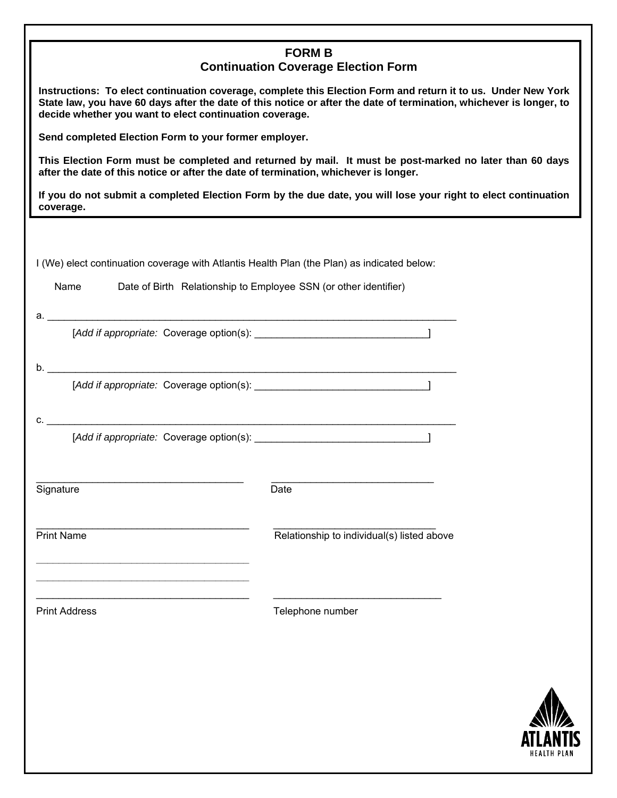|                                                                                                                                                                                                                                                                                                 | <b>FORM B</b>                              |             |  |
|-------------------------------------------------------------------------------------------------------------------------------------------------------------------------------------------------------------------------------------------------------------------------------------------------|--------------------------------------------|-------------|--|
|                                                                                                                                                                                                                                                                                                 | <b>Continuation Coverage Election Form</b> |             |  |
| Instructions: To elect continuation coverage, complete this Election Form and return it to us. Under New York<br>State law, you have 60 days after the date of this notice or after the date of termination, whichever is longer, to<br>decide whether you want to elect continuation coverage. |                                            |             |  |
| Send completed Election Form to your former employer.                                                                                                                                                                                                                                           |                                            |             |  |
| This Election Form must be completed and returned by mail. It must be post-marked no later than 60 days<br>after the date of this notice or after the date of termination, whichever is longer.                                                                                                 |                                            |             |  |
| If you do not submit a completed Election Form by the due date, you will lose your right to elect continuation<br>coverage.                                                                                                                                                                     |                                            |             |  |
|                                                                                                                                                                                                                                                                                                 |                                            |             |  |
| I (We) elect continuation coverage with Atlantis Health Plan (the Plan) as indicated below:                                                                                                                                                                                                     |                                            |             |  |
| Name<br>Date of Birth Relationship to Employee SSN (or other identifier)                                                                                                                                                                                                                        |                                            |             |  |
|                                                                                                                                                                                                                                                                                                 |                                            |             |  |
|                                                                                                                                                                                                                                                                                                 |                                            |             |  |
|                                                                                                                                                                                                                                                                                                 |                                            |             |  |
|                                                                                                                                                                                                                                                                                                 |                                            |             |  |
|                                                                                                                                                                                                                                                                                                 |                                            |             |  |
|                                                                                                                                                                                                                                                                                                 |                                            |             |  |
|                                                                                                                                                                                                                                                                                                 |                                            |             |  |
|                                                                                                                                                                                                                                                                                                 |                                            |             |  |
| Signature                                                                                                                                                                                                                                                                                       | Date                                       |             |  |
|                                                                                                                                                                                                                                                                                                 |                                            |             |  |
| <b>Print Name</b>                                                                                                                                                                                                                                                                               | Relationship to individual(s) listed above |             |  |
|                                                                                                                                                                                                                                                                                                 |                                            |             |  |
|                                                                                                                                                                                                                                                                                                 |                                            |             |  |
| <b>Print Address</b>                                                                                                                                                                                                                                                                            | Telephone number                           |             |  |
|                                                                                                                                                                                                                                                                                                 |                                            |             |  |
|                                                                                                                                                                                                                                                                                                 |                                            |             |  |
|                                                                                                                                                                                                                                                                                                 |                                            |             |  |
|                                                                                                                                                                                                                                                                                                 |                                            |             |  |
|                                                                                                                                                                                                                                                                                                 |                                            |             |  |
|                                                                                                                                                                                                                                                                                                 |                                            | HEALTH PLAN |  |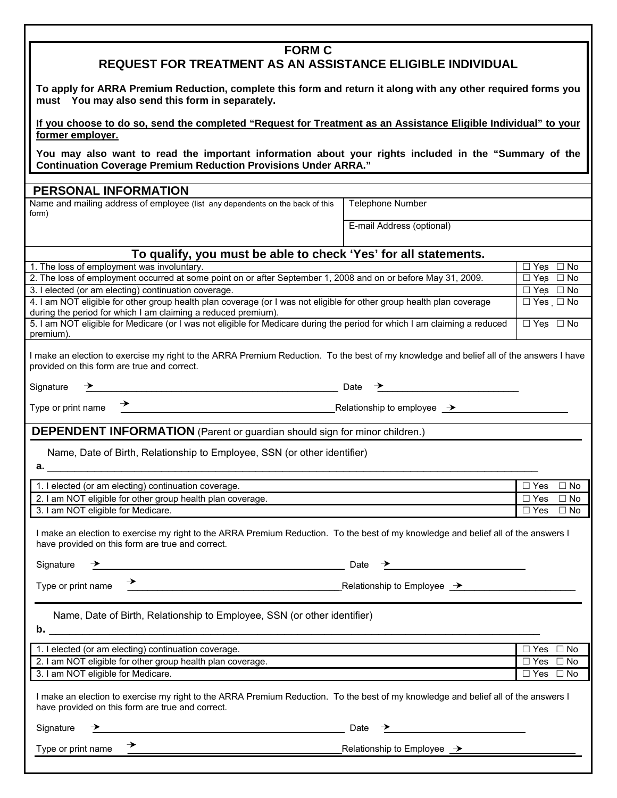| <b>REQUEST FOR TREATMENT AS AN ASSISTANCE ELIGIBLE INDIVIDUAL</b><br>To apply for ARRA Premium Reduction, complete this form and return it along with any other required forms you<br>must You may also send this form in separately.<br>If you choose to do so, send the completed "Request for Treatment as an Assistance Eligible Individual" to your<br>former employer.<br>You may also want to read the important information about your rights included in the "Summary of the<br><b>Continuation Coverage Premium Reduction Provisions Under ARRA."</b><br>PERSONAL INFORMATION<br>Name and mailing address of employee (list any dependents on the back of this<br><b>Telephone Number</b><br>form)<br>E-mail Address (optional)<br>To qualify, you must be able to check 'Yes' for all statements.<br>1. The loss of employment was involuntary.<br>$\Box$ Yes $\Box$ No<br>2. The loss of employment occurred at some point on or after September 1, 2008 and on or before May 31, 2009.<br>$\Box$ Yes $\Box$ No<br>$\overline{\Box}$ Yes $\Box$ No<br>3. I elected (or am electing) continuation coverage.<br>4. I am NOT eligible for other group health plan coverage (or I was not eligible for other group health plan coverage<br>$\overline{\Box}$ Yes $\Box$ No<br>during the period for which I am claiming a reduced premium).<br>5. I am NOT eligible for Medicare (or I was not eligible for Medicare during the period for which I am claiming a reduced<br>$\Box$ Yes $\Box$ No<br>premium).<br>I make an election to exercise my right to the ARRA Premium Reduction. To the best of my knowledge and belief all of the answers I have<br>provided on this form are true and correct.<br>$\overline{\phantom{a}}$ Date $\overline{\phantom{a}}$ Date $\overline{\phantom{a}}$<br>Signature<br>→ Relationship to employee → Relationship to employee →<br>Type or print name<br><b>DEPENDENT INFORMATION</b> (Parent or guardian should sign for minor children.)<br>Name, Date of Birth, Relationship to Employee, SSN (or other identifier)<br>$\overline{\Box}$ Yes $\Box$ No<br>1. I elected (or am electing) continuation coverage.<br>2. I am NOT eligible for other group health plan coverage.<br>$\Box$ Yes<br>$\Box$ No<br>3. I am NOT eligible for Medicare.<br>$\Box$ Yes $\Box$ No<br>I make an election to exercise my right to the ARRA Premium Reduction. To the best of my knowledge and belief all of the answers I<br>have provided on this form are true and correct.<br><u>Date</u> Date and the Contract of the Contract of the Contract of the Contract of the Contract of the Contract of the Contract of the Contract of the Contract of the Contract of the Contract of the Contract of the Contract o<br>Signature<br>→<br>Relationship to Employee →<br>Relationship to Employee →<br>Type or print name<br>Name, Date of Birth, Relationship to Employee, SSN (or other identifier)<br>b.<br>$\Box$ Yes $\Box$ No<br>1. I elected (or am electing) continuation coverage.<br>2. I am NOT eligible for other group health plan coverage.<br>$\overline{\Box}$ Yes<br>$\Box$ No<br>3. I am NOT eligible for Medicare.<br>$\Box$ Yes $\Box$ No<br>I make an election to exercise my right to the ARRA Premium Reduction. To the best of my knowledge and belief all of the answers I<br>have provided on this form are true and correct.<br>Signature<br><u> 1989 - Johann Barnett, fransk politiker (d. 1989)</u><br>Date<br>→<br>Type or print name<br>Relationship to Employee $\rightarrow$ |  |               |  |  |  |
|----------------------------------------------------------------------------------------------------------------------------------------------------------------------------------------------------------------------------------------------------------------------------------------------------------------------------------------------------------------------------------------------------------------------------------------------------------------------------------------------------------------------------------------------------------------------------------------------------------------------------------------------------------------------------------------------------------------------------------------------------------------------------------------------------------------------------------------------------------------------------------------------------------------------------------------------------------------------------------------------------------------------------------------------------------------------------------------------------------------------------------------------------------------------------------------------------------------------------------------------------------------------------------------------------------------------------------------------------------------------------------------------------------------------------------------------------------------------------------------------------------------------------------------------------------------------------------------------------------------------------------------------------------------------------------------------------------------------------------------------------------------------------------------------------------------------------------------------------------------------------------------------------------------------------------------------------------------------------------------------------------------------------------------------------------------------------------------------------------------------------------------------------------------------------------------------------------------------------------------------------------------------------------------------------------------------------------------------------------------------------------------------------------------------------------------------------------------------------------------------------------------------------------------------------------------------------------------------------------------------------------------------------------------------------------------------------------------------------------------------------------------------------------------------------------------------------------------------------------------------------------------------------------------------------------------------------------------------------------------------------------------------------------------------------------------------------------------------------------------------------------------------------------------------------------------------------------------------------------------------------------------------------------------------------------------------------------------------------------------------------------------------------------------------------------------------------------------------------------------------------------------------------------------------------|--|---------------|--|--|--|
|                                                                                                                                                                                                                                                                                                                                                                                                                                                                                                                                                                                                                                                                                                                                                                                                                                                                                                                                                                                                                                                                                                                                                                                                                                                                                                                                                                                                                                                                                                                                                                                                                                                                                                                                                                                                                                                                                                                                                                                                                                                                                                                                                                                                                                                                                                                                                                                                                                                                                                                                                                                                                                                                                                                                                                                                                                                                                                                                                                                                                                                                                                                                                                                                                                                                                                                                                                                                                                                                                                                                                    |  | <b>FORM C</b> |  |  |  |
|                                                                                                                                                                                                                                                                                                                                                                                                                                                                                                                                                                                                                                                                                                                                                                                                                                                                                                                                                                                                                                                                                                                                                                                                                                                                                                                                                                                                                                                                                                                                                                                                                                                                                                                                                                                                                                                                                                                                                                                                                                                                                                                                                                                                                                                                                                                                                                                                                                                                                                                                                                                                                                                                                                                                                                                                                                                                                                                                                                                                                                                                                                                                                                                                                                                                                                                                                                                                                                                                                                                                                    |  |               |  |  |  |
|                                                                                                                                                                                                                                                                                                                                                                                                                                                                                                                                                                                                                                                                                                                                                                                                                                                                                                                                                                                                                                                                                                                                                                                                                                                                                                                                                                                                                                                                                                                                                                                                                                                                                                                                                                                                                                                                                                                                                                                                                                                                                                                                                                                                                                                                                                                                                                                                                                                                                                                                                                                                                                                                                                                                                                                                                                                                                                                                                                                                                                                                                                                                                                                                                                                                                                                                                                                                                                                                                                                                                    |  |               |  |  |  |
|                                                                                                                                                                                                                                                                                                                                                                                                                                                                                                                                                                                                                                                                                                                                                                                                                                                                                                                                                                                                                                                                                                                                                                                                                                                                                                                                                                                                                                                                                                                                                                                                                                                                                                                                                                                                                                                                                                                                                                                                                                                                                                                                                                                                                                                                                                                                                                                                                                                                                                                                                                                                                                                                                                                                                                                                                                                                                                                                                                                                                                                                                                                                                                                                                                                                                                                                                                                                                                                                                                                                                    |  |               |  |  |  |
|                                                                                                                                                                                                                                                                                                                                                                                                                                                                                                                                                                                                                                                                                                                                                                                                                                                                                                                                                                                                                                                                                                                                                                                                                                                                                                                                                                                                                                                                                                                                                                                                                                                                                                                                                                                                                                                                                                                                                                                                                                                                                                                                                                                                                                                                                                                                                                                                                                                                                                                                                                                                                                                                                                                                                                                                                                                                                                                                                                                                                                                                                                                                                                                                                                                                                                                                                                                                                                                                                                                                                    |  |               |  |  |  |
|                                                                                                                                                                                                                                                                                                                                                                                                                                                                                                                                                                                                                                                                                                                                                                                                                                                                                                                                                                                                                                                                                                                                                                                                                                                                                                                                                                                                                                                                                                                                                                                                                                                                                                                                                                                                                                                                                                                                                                                                                                                                                                                                                                                                                                                                                                                                                                                                                                                                                                                                                                                                                                                                                                                                                                                                                                                                                                                                                                                                                                                                                                                                                                                                                                                                                                                                                                                                                                                                                                                                                    |  |               |  |  |  |
|                                                                                                                                                                                                                                                                                                                                                                                                                                                                                                                                                                                                                                                                                                                                                                                                                                                                                                                                                                                                                                                                                                                                                                                                                                                                                                                                                                                                                                                                                                                                                                                                                                                                                                                                                                                                                                                                                                                                                                                                                                                                                                                                                                                                                                                                                                                                                                                                                                                                                                                                                                                                                                                                                                                                                                                                                                                                                                                                                                                                                                                                                                                                                                                                                                                                                                                                                                                                                                                                                                                                                    |  |               |  |  |  |
|                                                                                                                                                                                                                                                                                                                                                                                                                                                                                                                                                                                                                                                                                                                                                                                                                                                                                                                                                                                                                                                                                                                                                                                                                                                                                                                                                                                                                                                                                                                                                                                                                                                                                                                                                                                                                                                                                                                                                                                                                                                                                                                                                                                                                                                                                                                                                                                                                                                                                                                                                                                                                                                                                                                                                                                                                                                                                                                                                                                                                                                                                                                                                                                                                                                                                                                                                                                                                                                                                                                                                    |  |               |  |  |  |
|                                                                                                                                                                                                                                                                                                                                                                                                                                                                                                                                                                                                                                                                                                                                                                                                                                                                                                                                                                                                                                                                                                                                                                                                                                                                                                                                                                                                                                                                                                                                                                                                                                                                                                                                                                                                                                                                                                                                                                                                                                                                                                                                                                                                                                                                                                                                                                                                                                                                                                                                                                                                                                                                                                                                                                                                                                                                                                                                                                                                                                                                                                                                                                                                                                                                                                                                                                                                                                                                                                                                                    |  |               |  |  |  |
|                                                                                                                                                                                                                                                                                                                                                                                                                                                                                                                                                                                                                                                                                                                                                                                                                                                                                                                                                                                                                                                                                                                                                                                                                                                                                                                                                                                                                                                                                                                                                                                                                                                                                                                                                                                                                                                                                                                                                                                                                                                                                                                                                                                                                                                                                                                                                                                                                                                                                                                                                                                                                                                                                                                                                                                                                                                                                                                                                                                                                                                                                                                                                                                                                                                                                                                                                                                                                                                                                                                                                    |  |               |  |  |  |
|                                                                                                                                                                                                                                                                                                                                                                                                                                                                                                                                                                                                                                                                                                                                                                                                                                                                                                                                                                                                                                                                                                                                                                                                                                                                                                                                                                                                                                                                                                                                                                                                                                                                                                                                                                                                                                                                                                                                                                                                                                                                                                                                                                                                                                                                                                                                                                                                                                                                                                                                                                                                                                                                                                                                                                                                                                                                                                                                                                                                                                                                                                                                                                                                                                                                                                                                                                                                                                                                                                                                                    |  |               |  |  |  |
|                                                                                                                                                                                                                                                                                                                                                                                                                                                                                                                                                                                                                                                                                                                                                                                                                                                                                                                                                                                                                                                                                                                                                                                                                                                                                                                                                                                                                                                                                                                                                                                                                                                                                                                                                                                                                                                                                                                                                                                                                                                                                                                                                                                                                                                                                                                                                                                                                                                                                                                                                                                                                                                                                                                                                                                                                                                                                                                                                                                                                                                                                                                                                                                                                                                                                                                                                                                                                                                                                                                                                    |  |               |  |  |  |
|                                                                                                                                                                                                                                                                                                                                                                                                                                                                                                                                                                                                                                                                                                                                                                                                                                                                                                                                                                                                                                                                                                                                                                                                                                                                                                                                                                                                                                                                                                                                                                                                                                                                                                                                                                                                                                                                                                                                                                                                                                                                                                                                                                                                                                                                                                                                                                                                                                                                                                                                                                                                                                                                                                                                                                                                                                                                                                                                                                                                                                                                                                                                                                                                                                                                                                                                                                                                                                                                                                                                                    |  |               |  |  |  |
|                                                                                                                                                                                                                                                                                                                                                                                                                                                                                                                                                                                                                                                                                                                                                                                                                                                                                                                                                                                                                                                                                                                                                                                                                                                                                                                                                                                                                                                                                                                                                                                                                                                                                                                                                                                                                                                                                                                                                                                                                                                                                                                                                                                                                                                                                                                                                                                                                                                                                                                                                                                                                                                                                                                                                                                                                                                                                                                                                                                                                                                                                                                                                                                                                                                                                                                                                                                                                                                                                                                                                    |  |               |  |  |  |
|                                                                                                                                                                                                                                                                                                                                                                                                                                                                                                                                                                                                                                                                                                                                                                                                                                                                                                                                                                                                                                                                                                                                                                                                                                                                                                                                                                                                                                                                                                                                                                                                                                                                                                                                                                                                                                                                                                                                                                                                                                                                                                                                                                                                                                                                                                                                                                                                                                                                                                                                                                                                                                                                                                                                                                                                                                                                                                                                                                                                                                                                                                                                                                                                                                                                                                                                                                                                                                                                                                                                                    |  |               |  |  |  |
|                                                                                                                                                                                                                                                                                                                                                                                                                                                                                                                                                                                                                                                                                                                                                                                                                                                                                                                                                                                                                                                                                                                                                                                                                                                                                                                                                                                                                                                                                                                                                                                                                                                                                                                                                                                                                                                                                                                                                                                                                                                                                                                                                                                                                                                                                                                                                                                                                                                                                                                                                                                                                                                                                                                                                                                                                                                                                                                                                                                                                                                                                                                                                                                                                                                                                                                                                                                                                                                                                                                                                    |  |               |  |  |  |
|                                                                                                                                                                                                                                                                                                                                                                                                                                                                                                                                                                                                                                                                                                                                                                                                                                                                                                                                                                                                                                                                                                                                                                                                                                                                                                                                                                                                                                                                                                                                                                                                                                                                                                                                                                                                                                                                                                                                                                                                                                                                                                                                                                                                                                                                                                                                                                                                                                                                                                                                                                                                                                                                                                                                                                                                                                                                                                                                                                                                                                                                                                                                                                                                                                                                                                                                                                                                                                                                                                                                                    |  |               |  |  |  |
|                                                                                                                                                                                                                                                                                                                                                                                                                                                                                                                                                                                                                                                                                                                                                                                                                                                                                                                                                                                                                                                                                                                                                                                                                                                                                                                                                                                                                                                                                                                                                                                                                                                                                                                                                                                                                                                                                                                                                                                                                                                                                                                                                                                                                                                                                                                                                                                                                                                                                                                                                                                                                                                                                                                                                                                                                                                                                                                                                                                                                                                                                                                                                                                                                                                                                                                                                                                                                                                                                                                                                    |  |               |  |  |  |
|                                                                                                                                                                                                                                                                                                                                                                                                                                                                                                                                                                                                                                                                                                                                                                                                                                                                                                                                                                                                                                                                                                                                                                                                                                                                                                                                                                                                                                                                                                                                                                                                                                                                                                                                                                                                                                                                                                                                                                                                                                                                                                                                                                                                                                                                                                                                                                                                                                                                                                                                                                                                                                                                                                                                                                                                                                                                                                                                                                                                                                                                                                                                                                                                                                                                                                                                                                                                                                                                                                                                                    |  |               |  |  |  |
|                                                                                                                                                                                                                                                                                                                                                                                                                                                                                                                                                                                                                                                                                                                                                                                                                                                                                                                                                                                                                                                                                                                                                                                                                                                                                                                                                                                                                                                                                                                                                                                                                                                                                                                                                                                                                                                                                                                                                                                                                                                                                                                                                                                                                                                                                                                                                                                                                                                                                                                                                                                                                                                                                                                                                                                                                                                                                                                                                                                                                                                                                                                                                                                                                                                                                                                                                                                                                                                                                                                                                    |  |               |  |  |  |
|                                                                                                                                                                                                                                                                                                                                                                                                                                                                                                                                                                                                                                                                                                                                                                                                                                                                                                                                                                                                                                                                                                                                                                                                                                                                                                                                                                                                                                                                                                                                                                                                                                                                                                                                                                                                                                                                                                                                                                                                                                                                                                                                                                                                                                                                                                                                                                                                                                                                                                                                                                                                                                                                                                                                                                                                                                                                                                                                                                                                                                                                                                                                                                                                                                                                                                                                                                                                                                                                                                                                                    |  |               |  |  |  |
|                                                                                                                                                                                                                                                                                                                                                                                                                                                                                                                                                                                                                                                                                                                                                                                                                                                                                                                                                                                                                                                                                                                                                                                                                                                                                                                                                                                                                                                                                                                                                                                                                                                                                                                                                                                                                                                                                                                                                                                                                                                                                                                                                                                                                                                                                                                                                                                                                                                                                                                                                                                                                                                                                                                                                                                                                                                                                                                                                                                                                                                                                                                                                                                                                                                                                                                                                                                                                                                                                                                                                    |  |               |  |  |  |
|                                                                                                                                                                                                                                                                                                                                                                                                                                                                                                                                                                                                                                                                                                                                                                                                                                                                                                                                                                                                                                                                                                                                                                                                                                                                                                                                                                                                                                                                                                                                                                                                                                                                                                                                                                                                                                                                                                                                                                                                                                                                                                                                                                                                                                                                                                                                                                                                                                                                                                                                                                                                                                                                                                                                                                                                                                                                                                                                                                                                                                                                                                                                                                                                                                                                                                                                                                                                                                                                                                                                                    |  |               |  |  |  |
|                                                                                                                                                                                                                                                                                                                                                                                                                                                                                                                                                                                                                                                                                                                                                                                                                                                                                                                                                                                                                                                                                                                                                                                                                                                                                                                                                                                                                                                                                                                                                                                                                                                                                                                                                                                                                                                                                                                                                                                                                                                                                                                                                                                                                                                                                                                                                                                                                                                                                                                                                                                                                                                                                                                                                                                                                                                                                                                                                                                                                                                                                                                                                                                                                                                                                                                                                                                                                                                                                                                                                    |  |               |  |  |  |
|                                                                                                                                                                                                                                                                                                                                                                                                                                                                                                                                                                                                                                                                                                                                                                                                                                                                                                                                                                                                                                                                                                                                                                                                                                                                                                                                                                                                                                                                                                                                                                                                                                                                                                                                                                                                                                                                                                                                                                                                                                                                                                                                                                                                                                                                                                                                                                                                                                                                                                                                                                                                                                                                                                                                                                                                                                                                                                                                                                                                                                                                                                                                                                                                                                                                                                                                                                                                                                                                                                                                                    |  |               |  |  |  |
|                                                                                                                                                                                                                                                                                                                                                                                                                                                                                                                                                                                                                                                                                                                                                                                                                                                                                                                                                                                                                                                                                                                                                                                                                                                                                                                                                                                                                                                                                                                                                                                                                                                                                                                                                                                                                                                                                                                                                                                                                                                                                                                                                                                                                                                                                                                                                                                                                                                                                                                                                                                                                                                                                                                                                                                                                                                                                                                                                                                                                                                                                                                                                                                                                                                                                                                                                                                                                                                                                                                                                    |  |               |  |  |  |
|                                                                                                                                                                                                                                                                                                                                                                                                                                                                                                                                                                                                                                                                                                                                                                                                                                                                                                                                                                                                                                                                                                                                                                                                                                                                                                                                                                                                                                                                                                                                                                                                                                                                                                                                                                                                                                                                                                                                                                                                                                                                                                                                                                                                                                                                                                                                                                                                                                                                                                                                                                                                                                                                                                                                                                                                                                                                                                                                                                                                                                                                                                                                                                                                                                                                                                                                                                                                                                                                                                                                                    |  |               |  |  |  |
|                                                                                                                                                                                                                                                                                                                                                                                                                                                                                                                                                                                                                                                                                                                                                                                                                                                                                                                                                                                                                                                                                                                                                                                                                                                                                                                                                                                                                                                                                                                                                                                                                                                                                                                                                                                                                                                                                                                                                                                                                                                                                                                                                                                                                                                                                                                                                                                                                                                                                                                                                                                                                                                                                                                                                                                                                                                                                                                                                                                                                                                                                                                                                                                                                                                                                                                                                                                                                                                                                                                                                    |  |               |  |  |  |
|                                                                                                                                                                                                                                                                                                                                                                                                                                                                                                                                                                                                                                                                                                                                                                                                                                                                                                                                                                                                                                                                                                                                                                                                                                                                                                                                                                                                                                                                                                                                                                                                                                                                                                                                                                                                                                                                                                                                                                                                                                                                                                                                                                                                                                                                                                                                                                                                                                                                                                                                                                                                                                                                                                                                                                                                                                                                                                                                                                                                                                                                                                                                                                                                                                                                                                                                                                                                                                                                                                                                                    |  |               |  |  |  |
|                                                                                                                                                                                                                                                                                                                                                                                                                                                                                                                                                                                                                                                                                                                                                                                                                                                                                                                                                                                                                                                                                                                                                                                                                                                                                                                                                                                                                                                                                                                                                                                                                                                                                                                                                                                                                                                                                                                                                                                                                                                                                                                                                                                                                                                                                                                                                                                                                                                                                                                                                                                                                                                                                                                                                                                                                                                                                                                                                                                                                                                                                                                                                                                                                                                                                                                                                                                                                                                                                                                                                    |  |               |  |  |  |
|                                                                                                                                                                                                                                                                                                                                                                                                                                                                                                                                                                                                                                                                                                                                                                                                                                                                                                                                                                                                                                                                                                                                                                                                                                                                                                                                                                                                                                                                                                                                                                                                                                                                                                                                                                                                                                                                                                                                                                                                                                                                                                                                                                                                                                                                                                                                                                                                                                                                                                                                                                                                                                                                                                                                                                                                                                                                                                                                                                                                                                                                                                                                                                                                                                                                                                                                                                                                                                                                                                                                                    |  |               |  |  |  |
|                                                                                                                                                                                                                                                                                                                                                                                                                                                                                                                                                                                                                                                                                                                                                                                                                                                                                                                                                                                                                                                                                                                                                                                                                                                                                                                                                                                                                                                                                                                                                                                                                                                                                                                                                                                                                                                                                                                                                                                                                                                                                                                                                                                                                                                                                                                                                                                                                                                                                                                                                                                                                                                                                                                                                                                                                                                                                                                                                                                                                                                                                                                                                                                                                                                                                                                                                                                                                                                                                                                                                    |  |               |  |  |  |
|                                                                                                                                                                                                                                                                                                                                                                                                                                                                                                                                                                                                                                                                                                                                                                                                                                                                                                                                                                                                                                                                                                                                                                                                                                                                                                                                                                                                                                                                                                                                                                                                                                                                                                                                                                                                                                                                                                                                                                                                                                                                                                                                                                                                                                                                                                                                                                                                                                                                                                                                                                                                                                                                                                                                                                                                                                                                                                                                                                                                                                                                                                                                                                                                                                                                                                                                                                                                                                                                                                                                                    |  |               |  |  |  |
|                                                                                                                                                                                                                                                                                                                                                                                                                                                                                                                                                                                                                                                                                                                                                                                                                                                                                                                                                                                                                                                                                                                                                                                                                                                                                                                                                                                                                                                                                                                                                                                                                                                                                                                                                                                                                                                                                                                                                                                                                                                                                                                                                                                                                                                                                                                                                                                                                                                                                                                                                                                                                                                                                                                                                                                                                                                                                                                                                                                                                                                                                                                                                                                                                                                                                                                                                                                                                                                                                                                                                    |  |               |  |  |  |
|                                                                                                                                                                                                                                                                                                                                                                                                                                                                                                                                                                                                                                                                                                                                                                                                                                                                                                                                                                                                                                                                                                                                                                                                                                                                                                                                                                                                                                                                                                                                                                                                                                                                                                                                                                                                                                                                                                                                                                                                                                                                                                                                                                                                                                                                                                                                                                                                                                                                                                                                                                                                                                                                                                                                                                                                                                                                                                                                                                                                                                                                                                                                                                                                                                                                                                                                                                                                                                                                                                                                                    |  |               |  |  |  |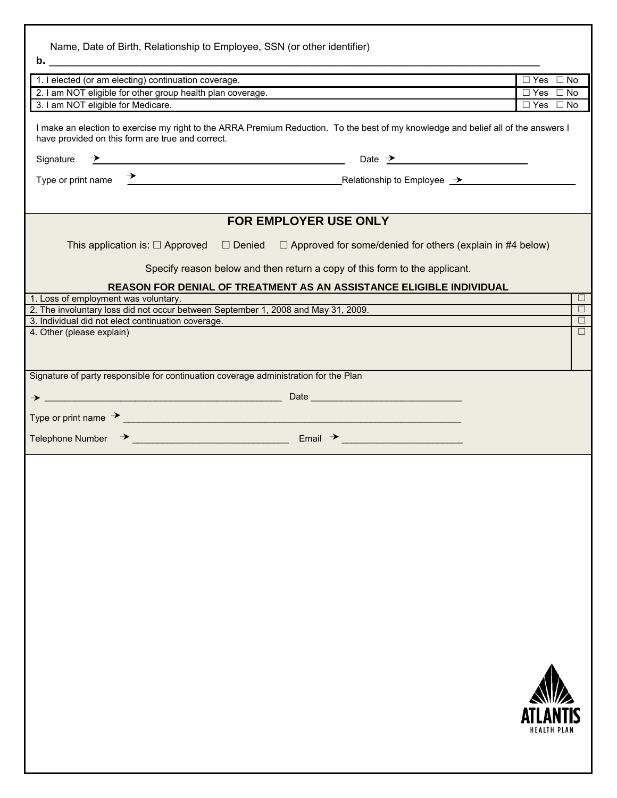| Name, Date of Birth, Relationship to Employee, SSN (or other identifier)                                                                                                                                                                                                                    |                                       |                      |
|---------------------------------------------------------------------------------------------------------------------------------------------------------------------------------------------------------------------------------------------------------------------------------------------|---------------------------------------|----------------------|
| b. $\overline{\phantom{a}}$                                                                                                                                                                                                                                                                 |                                       |                      |
| 1. I elected (or am electing) continuation coverage.                                                                                                                                                                                                                                        | $\Box$ Yes $\Box$ No                  |                      |
| 2. I am NOT eligible for other group health plan coverage.                                                                                                                                                                                                                                  | $\Box$ Yes $\Box$ No                  |                      |
| 3. I am NOT eligible for Medicare.                                                                                                                                                                                                                                                          | $\Box$ Yes $\Box$ No                  |                      |
| I make an election to exercise my right to the ARRA Premium Reduction. To the best of my knowledge and belief all of the answers I<br>have provided on this form are true and correct.<br>$\overline{\phantom{a}}$ Date $\overline{\phantom{a}}$ Date $\overline{\phantom{a}}$<br>Signature |                                       |                      |
|                                                                                                                                                                                                                                                                                             |                                       |                      |
| <b>FOR EMPLOYER USE ONLY</b><br>$\Box$ Denied $\Box$ Approved for some/denied for others (explain in #4 below)<br>This application is: $\Box$ Approved<br>Specify reason below and then return a copy of this form to the applicant.                                                        |                                       |                      |
|                                                                                                                                                                                                                                                                                             |                                       |                      |
| REASON FOR DENIAL OF TREATMENT AS AN ASSISTANCE ELIGIBLE INDIVIDUAL                                                                                                                                                                                                                         |                                       | $\Box$               |
| 1. Loss of employment was voluntary.<br>2. The involuntary loss did not occur between September 1, 2008 and May 31, 2009.                                                                                                                                                                   |                                       | $\overline{\square}$ |
| 3. Individual did not elect continuation coverage.                                                                                                                                                                                                                                          |                                       | $\Box$               |
| 4. Other (please explain)                                                                                                                                                                                                                                                                   |                                       | $\Box$               |
|                                                                                                                                                                                                                                                                                             |                                       |                      |
|                                                                                                                                                                                                                                                                                             |                                       |                      |
| Signature of party responsible for continuation coverage administration for the Plan                                                                                                                                                                                                        |                                       |                      |
|                                                                                                                                                                                                                                                                                             |                                       |                      |
|                                                                                                                                                                                                                                                                                             |                                       |                      |
|                                                                                                                                                                                                                                                                                             |                                       |                      |
|                                                                                                                                                                                                                                                                                             |                                       |                      |
|                                                                                                                                                                                                                                                                                             |                                       |                      |
|                                                                                                                                                                                                                                                                                             |                                       |                      |
|                                                                                                                                                                                                                                                                                             |                                       |                      |
|                                                                                                                                                                                                                                                                                             |                                       |                      |
|                                                                                                                                                                                                                                                                                             |                                       |                      |
|                                                                                                                                                                                                                                                                                             |                                       |                      |
|                                                                                                                                                                                                                                                                                             |                                       |                      |
|                                                                                                                                                                                                                                                                                             | <b>ATLANTIS</b><br><b>HEALTH PLAN</b> |                      |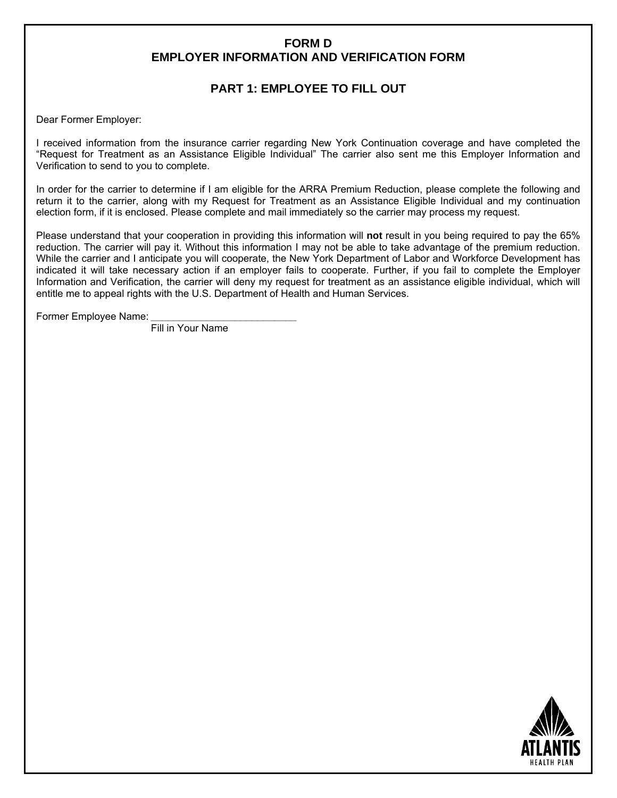## **FORM D EMPLOYER INFORMATION AND VERIFICATION FORM**

# **PART 1: EMPLOYEE TO FILL OUT**

Dear Former Employer:

I received information from the insurance carrier regarding New York Continuation coverage and have completed the "Request for Treatment as an Assistance Eligible Individual" The carrier also sent me this Employer Information and Verification to send to you to complete.

In order for the carrier to determine if I am eligible for the ARRA Premium Reduction, please complete the following and return it to the carrier, along with my Request for Treatment as an Assistance Eligible Individual and my continuation election form, if it is enclosed. Please complete and mail immediately so the carrier may process my request.

Please understand that your cooperation in providing this information will **not** result in you being required to pay the 65% reduction. The carrier will pay it. Without this information I may not be able to take advantage of the premium reduction. While the carrier and I anticipate you will cooperate, the New York Department of Labor and Workforce Development has indicated it will take necessary action if an employer fails to cooperate. Further, if you fail to complete the Employer Information and Verification, the carrier will deny my request for treatment as an assistance eligible individual, which will entitle me to appeal rights with the U.S. Department of Health and Human Services.

Former Employee Name:

Fill in Your Name

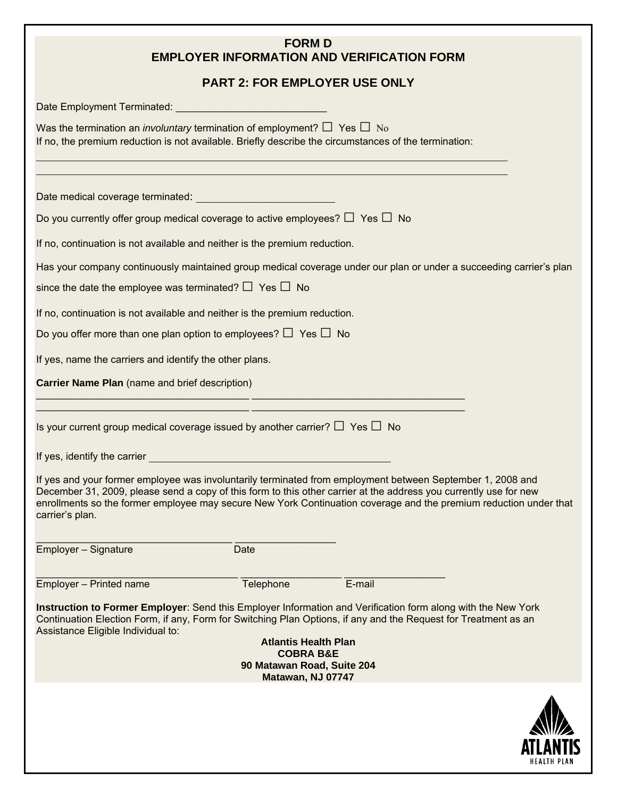# **FORM D EMPLOYER INFORMATION AND VERIFICATION FORM**

# **PART 2: FOR EMPLOYER USE ONLY**

|                                                                                                                                                                                                    | <b>PART 2: FOR EMPLOYER USE ONLY</b>                                                                   |                                                                                                                                                                                                                                                                                                                                                      |                    |
|----------------------------------------------------------------------------------------------------------------------------------------------------------------------------------------------------|--------------------------------------------------------------------------------------------------------|------------------------------------------------------------------------------------------------------------------------------------------------------------------------------------------------------------------------------------------------------------------------------------------------------------------------------------------------------|--------------------|
|                                                                                                                                                                                                    |                                                                                                        |                                                                                                                                                                                                                                                                                                                                                      |                    |
| Was the termination an <i>involuntary</i> termination of employment? $\Box$ Yes $\Box$ No<br>If no, the premium reduction is not available. Briefly describe the circumstances of the termination: |                                                                                                        | <u> 1989 - Johann Stoff, deutscher Stoff, der Stoff, der Stoff, der Stoff, der Stoff, der Stoff, der Stoff, der S</u>                                                                                                                                                                                                                                |                    |
|                                                                                                                                                                                                    |                                                                                                        |                                                                                                                                                                                                                                                                                                                                                      |                    |
| Date medical coverage terminated: <b>Mateural Access of Access 1999</b>                                                                                                                            |                                                                                                        |                                                                                                                                                                                                                                                                                                                                                      |                    |
| Do you currently offer group medical coverage to active employees? $\Box$ Yes $\Box$ No                                                                                                            |                                                                                                        |                                                                                                                                                                                                                                                                                                                                                      |                    |
| If no, continuation is not available and neither is the premium reduction.                                                                                                                         |                                                                                                        |                                                                                                                                                                                                                                                                                                                                                      |                    |
|                                                                                                                                                                                                    |                                                                                                        | Has your company continuously maintained group medical coverage under our plan or under a succeeding carrier's plan                                                                                                                                                                                                                                  |                    |
| since the date the employee was terminated? $\Box$ Yes $\Box$ No                                                                                                                                   |                                                                                                        |                                                                                                                                                                                                                                                                                                                                                      |                    |
| If no, continuation is not available and neither is the premium reduction.                                                                                                                         |                                                                                                        |                                                                                                                                                                                                                                                                                                                                                      |                    |
| Do you offer more than one plan option to employees? $\Box$ Yes $\Box$ No                                                                                                                          |                                                                                                        |                                                                                                                                                                                                                                                                                                                                                      |                    |
| If yes, name the carriers and identify the other plans.                                                                                                                                            |                                                                                                        |                                                                                                                                                                                                                                                                                                                                                      |                    |
| Carrier Name Plan (name and brief description)                                                                                                                                                     |                                                                                                        |                                                                                                                                                                                                                                                                                                                                                      |                    |
| Is your current group medical coverage issued by another carrier? $\Box$ Yes $\Box$ No<br>carrier's plan.                                                                                          |                                                                                                        | If yes and your former employee was involuntarily terminated from employment between September 1, 2008 and<br>December 31, 2009, please send a copy of this form to this other carrier at the address you currently use for new<br>enrollments so the former employee may secure New York Continuation coverage and the premium reduction under that |                    |
| Employer - Signature                                                                                                                                                                               | Date                                                                                                   |                                                                                                                                                                                                                                                                                                                                                      |                    |
| Employer - Printed name                                                                                                                                                                            | Telephone                                                                                              | E-mail                                                                                                                                                                                                                                                                                                                                               |                    |
| Assistance Eligible Individual to:                                                                                                                                                                 | <b>Atlantis Health Plan</b><br><b>COBRA B&amp;E</b><br>90 Matawan Road, Suite 204<br>Matawan, NJ 07747 | Instruction to Former Employer: Send this Employer Information and Verification form along with the New York<br>Continuation Election Form, if any, Form for Switching Plan Options, if any and the Request for Treatment as an                                                                                                                      |                    |
|                                                                                                                                                                                                    |                                                                                                        |                                                                                                                                                                                                                                                                                                                                                      | HEALTH PL <i>i</i> |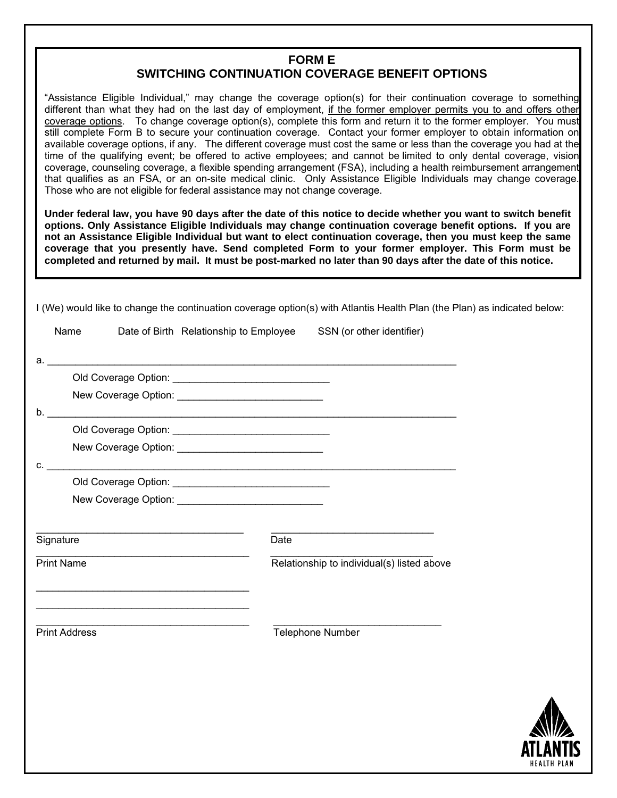## **FORM E SWITCHING CONTINUATION COVERAGE BENEFIT OPTIONS**

"Assistance Eligible Individual," may change the coverage option(s) for their continuation coverage to something different than what they had on the last day of employment, if the former employer permits you to and offers other coverage options. To change coverage option(s), complete this form and return it to the former employer. You must still complete Form B to secure your continuation coverage. Contact your former employer to obtain information on available coverage options, if any. The different coverage must cost the same or less than the coverage you had at the time of the qualifying event; be offered to active employees; and cannot be limited to only dental coverage, vision coverage, counseling coverage, a flexible spending arrangement (FSA), including a health reimbursement arrangement that qualifies as an FSA, or an on-site medical clinic. Only Assistance Eligible Individuals may change coverage. Those who are not eligible for federal assistance may not change coverage.

**Under federal law, you have 90 days after the date of this notice to decide whether you want to switch benefit options. Only Assistance Eligible Individuals may change continuation coverage benefit options. If you are not an Assistance Eligible Individual but want to elect continuation coverage, then you must keep the same coverage that you presently have. Send completed Form to your former employer. This Form must be completed and returned by mail. It must be post-marked no later than 90 days after the date of this notice.** 

I (We) would like to change the continuation coverage option(s) with Atlantis Health Plan (the Plan) as indicated below:

| Name                 |                                                                                           | Date of Birth Relationship to Employee SSN (or other identifier) |                                            |
|----------------------|-------------------------------------------------------------------------------------------|------------------------------------------------------------------|--------------------------------------------|
|                      |                                                                                           | $a.$ $\overline{\phantom{a}}$                                    |                                            |
|                      |                                                                                           |                                                                  |                                            |
|                      |                                                                                           |                                                                  |                                            |
| b.                   |                                                                                           |                                                                  |                                            |
|                      |                                                                                           |                                                                  |                                            |
|                      |                                                                                           | New Coverage Option: New Coverage Option:                        |                                            |
| C.                   |                                                                                           |                                                                  |                                            |
|                      |                                                                                           |                                                                  |                                            |
|                      |                                                                                           | New Coverage Option: New Coverage Option:                        |                                            |
|                      |                                                                                           |                                                                  |                                            |
| Signature            |                                                                                           | <b>Date</b>                                                      |                                            |
| <b>Print Name</b>    | the control of the control of the control of the control of the control of the control of |                                                                  | Relationship to individual(s) listed above |
|                      |                                                                                           |                                                                  |                                            |
|                      | <u> 1989 - Johann Barbara, martin amerikan personal (</u>                                 |                                                                  |                                            |
|                      | the control of the control of the control of the control of the control of the control of |                                                                  |                                            |
| <b>Print Address</b> |                                                                                           |                                                                  | Telephone Number                           |
|                      |                                                                                           |                                                                  |                                            |
|                      |                                                                                           |                                                                  |                                            |
|                      |                                                                                           |                                                                  |                                            |
|                      |                                                                                           |                                                                  |                                            |
|                      |                                                                                           |                                                                  |                                            |
|                      |                                                                                           |                                                                  |                                            |

**HEALTH PLAN**